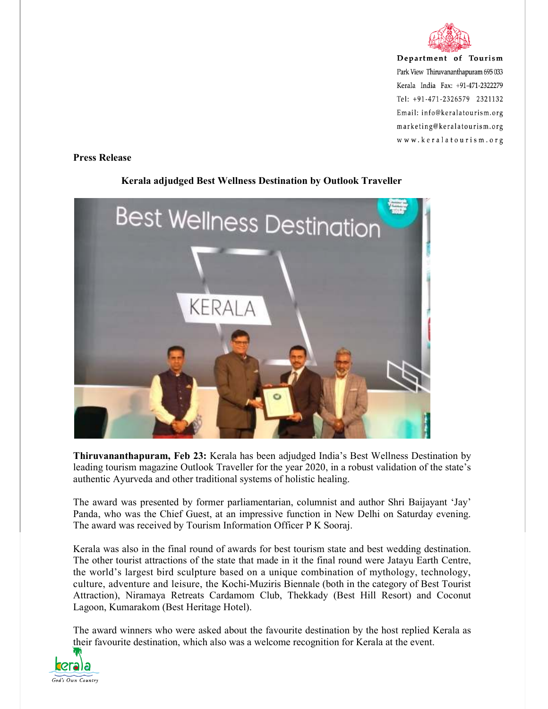

Department of Tourism Park View Thiruvananthapuram 695 033 Kerala India Fax: +91-471-2322279 Tel: +91-471-2326579 2321132 Email: info@keralatourism.org marketing@keralatourism.org www.keralatourism.org

**Press Release** 

## **Best Wellness Destination KERALA**

## **Kerala adjudged Best Wellness Destination by Outlook Traveller**

**Thiruvananthapuram, Feb 23:** Kerala has been adjudged India's Best Wellness Destination by leading tourism magazine Outlook Traveller for the year 2020, in a robust validation of the state's authentic Ayurveda and other traditional systems of holistic healing.

The award was presented by former parliamentarian, columnist and author Shri Baijayant 'Jay' Panda, who was the Chief Guest, at an impressive function in New Delhi on Saturday evening. The award was received by Tourism Information Officer P K Sooraj.

Kerala was also in the final round of awards for best tourism state and best wedding destination. The other tourist attractions of the state that made in it the final round were Jatayu Earth Centre, the world's largest bird sculpture based on a unique combination of mythology, technology, culture, adventure and leisure, the Kochi-Muziris Biennale (both in the category of Best Tourist Attraction), Niramaya Retreats Cardamom Club, Thekkady (Best Hill Resort) and Coconut Lagoon, Kumarakom (Best Heritage Hotel).

The award winners who were asked about the favourite destination by the host replied Kerala as their favourite destination, which also was a welcome recognition for Kerala at the event.